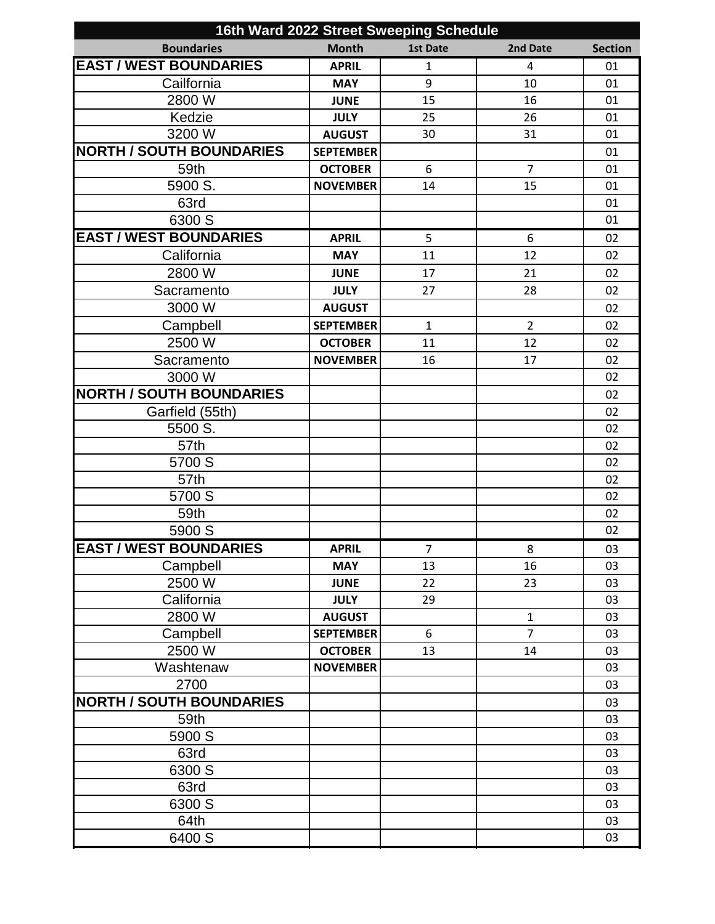| 16th Ward 2022 Street Sweeping Schedule |                  |                |                |                |
|-----------------------------------------|------------------|----------------|----------------|----------------|
| <b>Boundaries</b>                       | <b>Month</b>     | 1st Date       | 2nd Date       | <b>Section</b> |
| <b>EAST / WEST BOUNDARIES</b>           | <b>APRIL</b>     | $\mathbf{1}$   | 4              | 01             |
| Cailfornia                              | <b>MAY</b>       | 9              | 10             | 01             |
| 2800 W                                  | <b>JUNE</b>      | 15             | 16             | 01             |
| Kedzie                                  | <b>JULY</b>      | 25             | 26             | 01             |
| 3200 W                                  | <b>AUGUST</b>    | 30             | 31             | 01             |
| <b>NORTH / SOUTH BOUNDARIES</b>         | <b>SEPTEMBER</b> |                |                | 01             |
| 59th                                    | <b>OCTOBER</b>   | 6              | $\overline{7}$ | 01             |
| 5900 S.                                 | <b>NOVEMBER</b>  | 14             | 15             | 01             |
| 63rd                                    |                  |                |                | 01             |
| 6300 S                                  |                  |                |                | 01             |
| <b>EAST / WEST BOUNDARIES</b>           | <b>APRIL</b>     | 5              | 6              | 02             |
| California                              | <b>MAY</b>       | 11             | 12             | 02             |
| 2800 W                                  | <b>JUNE</b>      | 17             | 21             | 02             |
| Sacramento                              | <b>JULY</b>      | 27             | 28             | 02             |
| 3000 W                                  | <b>AUGUST</b>    |                |                | 02             |
| Campbell                                | <b>SEPTEMBER</b> | $\mathbf{1}$   | $\overline{2}$ | 02             |
| 2500 W                                  | <b>OCTOBER</b>   | 11             | 12             | 02             |
| Sacramento                              | <b>NOVEMBER</b>  | 16             | 17             | 02             |
| 3000 W                                  |                  |                |                | 02             |
| <b>NORTH / SOUTH BOUNDARIES</b>         |                  |                |                | 02             |
| Garfield (55th)                         |                  |                |                | 02             |
| 5500 S.                                 |                  |                |                | 02             |
| 57th                                    |                  |                |                | 02             |
| 5700 S                                  |                  |                |                | 02             |
| 57th                                    |                  |                |                | 02             |
| 5700 S                                  |                  |                |                | 02             |
| 59th                                    |                  |                |                | 02             |
| 5900 S                                  |                  |                |                | 02             |
| <b>EAST / WEST BOUNDARIES</b>           | <b>APRIL</b>     | $\overline{7}$ | 8              | 03             |
| Campbell                                | <b>MAY</b>       | 13             | 16             | 03             |
| 2500 W                                  | <b>JUNE</b>      | 22             | 23             | 03             |
| California                              | <b>JULY</b>      | 29             |                | 03             |
| 2800 W                                  | <b>AUGUST</b>    |                | $\mathbf{1}$   | 03             |
| Campbell                                | <b>SEPTEMBER</b> | 6              | $\overline{7}$ | 03             |
| 2500 W                                  | <b>OCTOBER</b>   | 13             | 14             | 03             |
| Washtenaw                               | <b>NOVEMBER</b>  |                |                | 03             |
| 2700                                    |                  |                |                | 03             |
| <b>NORTH / SOUTH BOUNDARIES</b>         |                  |                |                | 03             |
| 59th                                    |                  |                |                | 03             |
| 5900 S                                  |                  |                |                | 03             |
| 63rd                                    |                  |                |                | 03             |
| 6300 S                                  |                  |                |                | 03             |
| 63rd                                    |                  |                |                | 03             |
| 6300 S                                  |                  |                |                | 03             |
| 64th                                    |                  |                |                | 03             |
| 6400 S                                  |                  |                |                | 03             |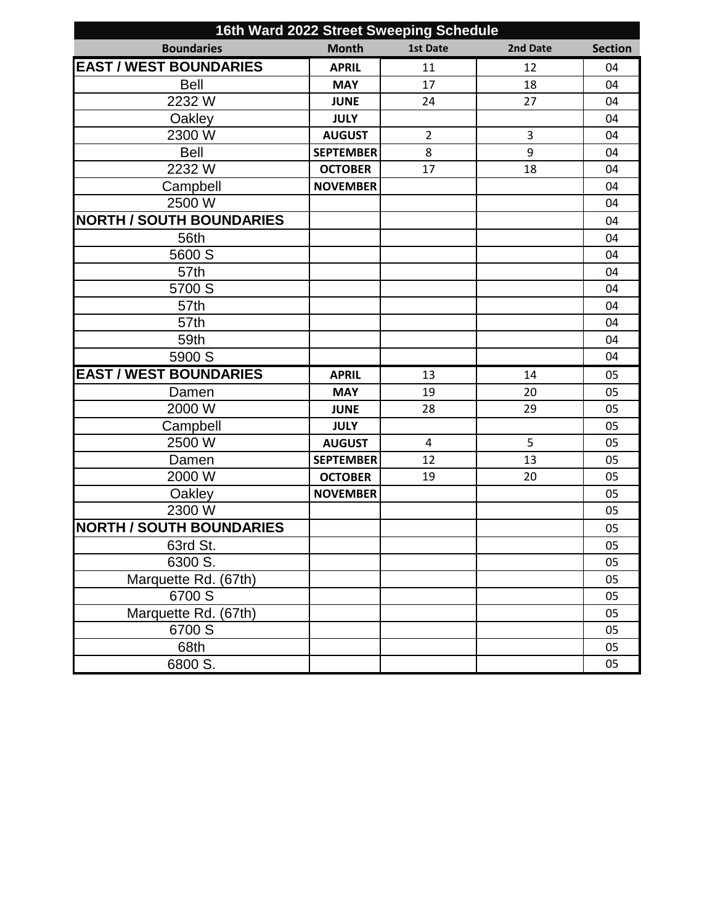| 16th Ward 2022 Street Sweeping Schedule |                  |                 |          |                |
|-----------------------------------------|------------------|-----------------|----------|----------------|
| <b>Boundaries</b>                       | <b>Month</b>     | <b>1st Date</b> | 2nd Date | <b>Section</b> |
| <b>EAST / WEST BOUNDARIES</b>           | <b>APRIL</b>     | 11              | 12       | 04             |
| <b>Bell</b>                             | <b>MAY</b>       | 17              | 18       | 04             |
| 2232 W                                  | <b>JUNE</b>      | 24              | 27       | 04             |
| Oakley                                  | <b>JULY</b>      |                 |          | 04             |
| 2300 W                                  | <b>AUGUST</b>    | $\overline{2}$  | 3        | 04             |
| <b>Bell</b>                             | <b>SEPTEMBER</b> | 8               | 9        | 04             |
| 2232 W                                  | <b>OCTOBER</b>   | 17              | 18       | 04             |
| Campbell                                | <b>NOVEMBER</b>  |                 |          | 04             |
| 2500 W                                  |                  |                 |          | 04             |
| <b>NORTH / SOUTH BOUNDARIES</b>         |                  |                 |          | 04             |
| 56th                                    |                  |                 |          | 04             |
| 5600 S                                  |                  |                 |          | 04             |
| 57th                                    |                  |                 |          | 04             |
| 5700 S                                  |                  |                 |          | 04             |
| 57th                                    |                  |                 |          | 04             |
| 57th                                    |                  |                 |          | 04             |
| 59th                                    |                  |                 |          | 04             |
| 5900 S                                  |                  |                 |          | 04             |
| <b>EAST / WEST BOUNDARIES</b>           | <b>APRIL</b>     | 13              | 14       | 05             |
| Damen                                   | <b>MAY</b>       | 19              | 20       | 05             |
| 2000 W                                  | <b>JUNE</b>      | 28              | 29       | 05             |
| Campbell                                | <b>JULY</b>      |                 |          | 05             |
| 2500 W                                  | <b>AUGUST</b>    | 4               | 5        | 05             |
| Damen                                   | <b>SEPTEMBER</b> | 12              | 13       | 05             |
| 2000 W                                  | <b>OCTOBER</b>   | 19              | 20       | 05             |
| Oakley                                  | <b>NOVEMBER</b>  |                 |          | 05             |
| 2300 W                                  |                  |                 |          | 05             |
| <b>NORTH / SOUTH BOUNDARIES</b>         |                  |                 |          | 05             |
| 63rd St.                                |                  |                 |          | 05             |
| 6300 S.                                 |                  |                 |          | 05             |
| Marquette Rd. (67th)                    |                  |                 |          | 05             |
| 6700 S                                  |                  |                 |          | 05             |
| Marquette Rd. (67th)                    |                  |                 |          | 05             |
| 6700 S                                  |                  |                 |          | 05             |
| 68th                                    |                  |                 |          | 05             |
| 6800 S.                                 |                  |                 |          | 05             |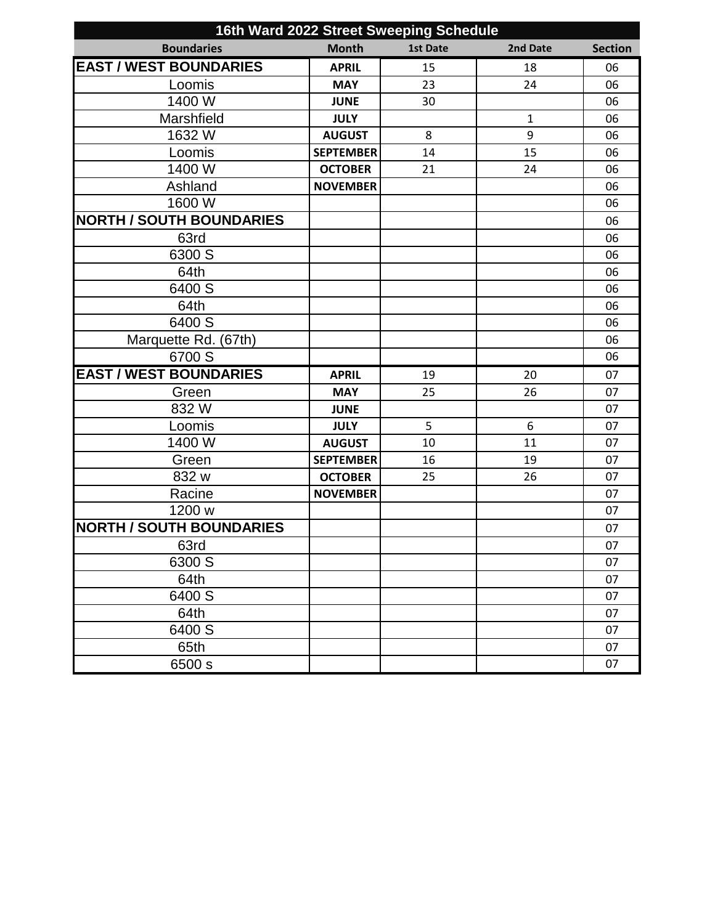| 16th Ward 2022 Street Sweeping Schedule |                  |                 |              |                |
|-----------------------------------------|------------------|-----------------|--------------|----------------|
| <b>Boundaries</b>                       | <b>Month</b>     | <b>1st Date</b> | 2nd Date     | <b>Section</b> |
| <b>EAST / WEST BOUNDARIES</b>           | <b>APRIL</b>     | 15              | 18           | 06             |
| Loomis                                  | <b>MAY</b>       | 23              | 24           | 06             |
| 1400 W                                  | <b>JUNE</b>      | 30              |              | 06             |
| Marshfield                              | <b>JULY</b>      |                 | $\mathbf{1}$ | 06             |
| 1632 W                                  | <b>AUGUST</b>    | 8               | 9            | 06             |
| Loomis                                  | <b>SEPTEMBER</b> | 14              | 15           | 06             |
| 1400 W                                  | <b>OCTOBER</b>   | 21              | 24           | 06             |
| Ashland                                 | <b>NOVEMBER</b>  |                 |              | 06             |
| 1600 W                                  |                  |                 |              | 06             |
| <b>NORTH / SOUTH BOUNDARIES</b>         |                  |                 |              | 06             |
| 63rd                                    |                  |                 |              | 06             |
| 6300 S                                  |                  |                 |              | 06             |
| 64th                                    |                  |                 |              | 06             |
| 6400 S                                  |                  |                 |              | 06             |
| 64th                                    |                  |                 |              | 06             |
| 6400 S                                  |                  |                 |              | 06             |
| Marquette Rd. (67th)                    |                  |                 |              | 06             |
| 6700 S                                  |                  |                 |              | 06             |
| <b>EAST / WEST BOUNDARIES</b>           | <b>APRIL</b>     | 19              | 20           | 07             |
| Green                                   | <b>MAY</b>       | 25              | 26           | 07             |
| 832W                                    | <b>JUNE</b>      |                 |              | 07             |
| Loomis                                  | <b>JULY</b>      | 5               | 6            | 07             |
| 1400 W                                  | <b>AUGUST</b>    | 10              | 11           | 07             |
| Green                                   | <b>SEPTEMBER</b> | 16              | 19           | 07             |
| 832 w                                   | <b>OCTOBER</b>   | 25              | 26           | 07             |
| Racine                                  | <b>NOVEMBER</b>  |                 |              | 07             |
| 1200 w                                  |                  |                 |              | 07             |
| <b>NORTH / SOUTH BOUNDARIES</b>         |                  |                 |              | 07             |
| 63rd                                    |                  |                 |              | 07             |
| 6300 S                                  |                  |                 |              | 07             |
| 64th                                    |                  |                 |              | 07             |
| 6400 S                                  |                  |                 |              | 07             |
| 64th                                    |                  |                 |              | 07             |
| 6400 S                                  |                  |                 |              | 07             |
| 65th                                    |                  |                 |              | 07             |
| 6500 s                                  |                  |                 |              | 07             |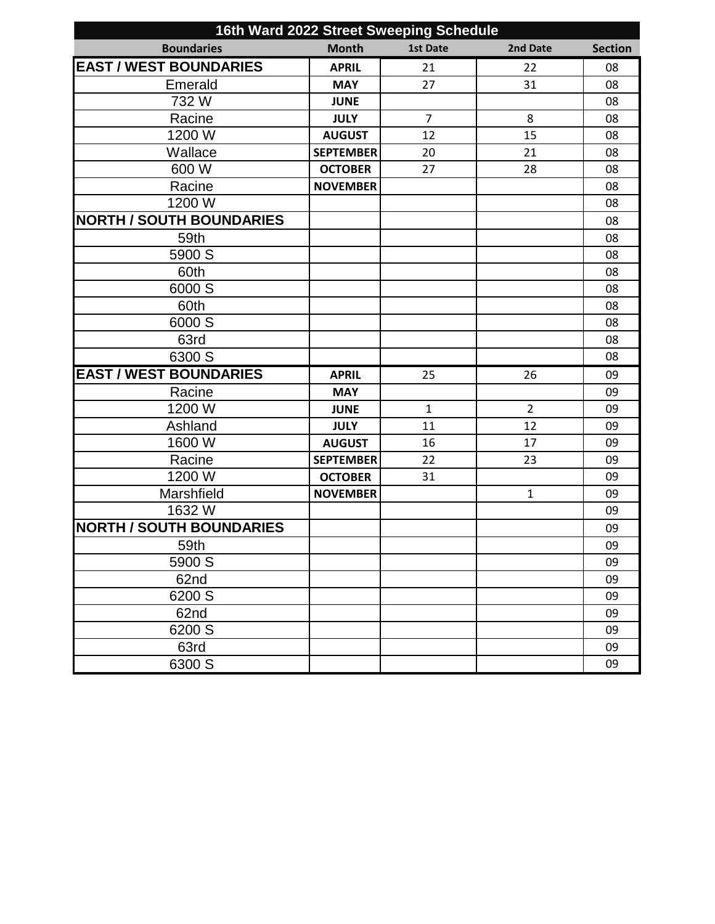| 16th Ward 2022 Street Sweeping Schedule |                  |                 |                |                |
|-----------------------------------------|------------------|-----------------|----------------|----------------|
| <b>Boundaries</b>                       | <b>Month</b>     | <b>1st Date</b> | 2nd Date       | <b>Section</b> |
| <b>EAST / WEST BOUNDARIES</b>           | <b>APRIL</b>     | 21              | 22             | 08             |
| Emerald                                 | <b>MAY</b>       | 27              | 31             | 08             |
| 732W                                    | <b>JUNE</b>      |                 |                | 08             |
| Racine                                  | <b>JULY</b>      | $\overline{7}$  | 8              | 08             |
| 1200 W                                  | <b>AUGUST</b>    | 12              | 15             | 08             |
| Wallace                                 | <b>SEPTEMBER</b> | 20              | 21             | 08             |
| 600 W                                   | <b>OCTOBER</b>   | 27              | 28             | 08             |
| Racine                                  | <b>NOVEMBER</b>  |                 |                | 08             |
| 1200 W                                  |                  |                 |                | 08             |
| <b>NORTH / SOUTH BOUNDARIES</b>         |                  |                 |                | 08             |
| 59th                                    |                  |                 |                | 08             |
| 5900 S                                  |                  |                 |                | 08             |
| 60th                                    |                  |                 |                | 08             |
| 6000 S                                  |                  |                 |                | 08             |
| 60th                                    |                  |                 |                | 08             |
| 6000 S                                  |                  |                 |                | 08             |
| 63rd                                    |                  |                 |                | 08             |
| 6300 S                                  |                  |                 |                | 08             |
| <b>EAST / WEST BOUNDARIES</b>           | <b>APRIL</b>     | 25              | 26             | 09             |
| Racine                                  | <b>MAY</b>       |                 |                | 09             |
| 1200 W                                  | <b>JUNE</b>      | $\mathbf{1}$    | $\overline{2}$ | 09             |
| Ashland                                 | <b>JULY</b>      | 11              | 12             | 09             |
| 1600 W                                  | <b>AUGUST</b>    | 16              | 17             | 09             |
| Racine                                  | <b>SEPTEMBER</b> | 22              | 23             | 09             |
| 1200 W                                  | <b>OCTOBER</b>   | 31              |                | 09             |
| Marshfield                              | <b>NOVEMBER</b>  |                 | $\mathbf{1}$   | 09             |
| 1632W                                   |                  |                 |                | 09             |
| <b>NORTH / SOUTH BOUNDARIES</b>         |                  |                 |                | 09             |
| 59th                                    |                  |                 |                | 09             |
| 5900 S                                  |                  |                 |                | 09             |
| 62nd                                    |                  |                 |                | 09             |
| 6200 S                                  |                  |                 |                | 09             |
| 62nd                                    |                  |                 |                | 09             |
| 6200 S                                  |                  |                 |                | 09             |
| 63rd                                    |                  |                 |                | 09             |
| 6300 S                                  |                  |                 |                | 09             |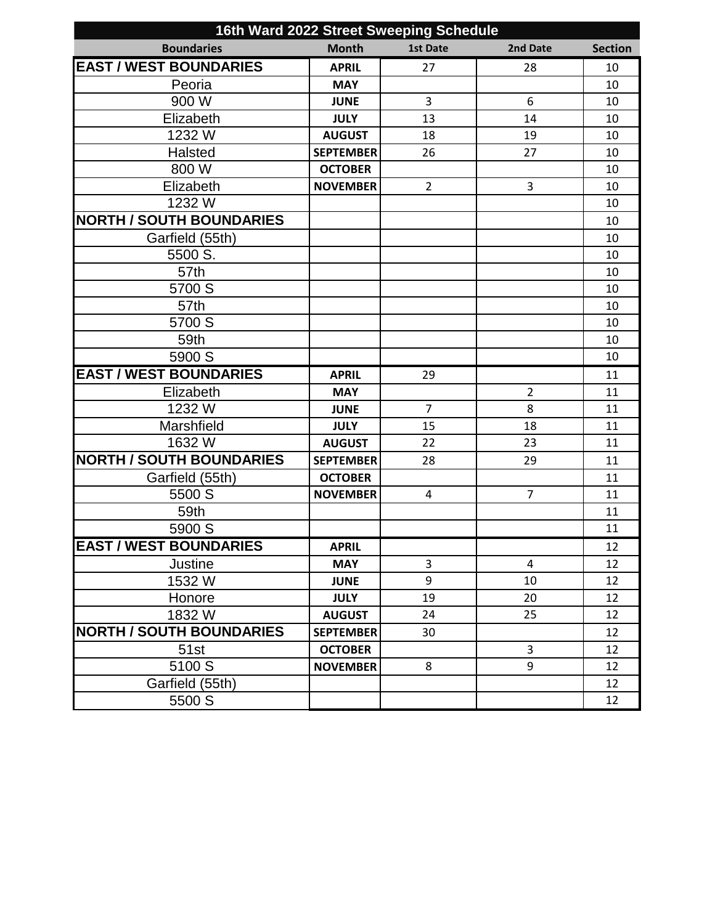| 16th Ward 2022 Street Sweeping Schedule |                  |                 |                |                |
|-----------------------------------------|------------------|-----------------|----------------|----------------|
| <b>Boundaries</b>                       | <b>Month</b>     | <b>1st Date</b> | 2nd Date       | <b>Section</b> |
| <b>EAST / WEST BOUNDARIES</b>           | <b>APRIL</b>     | 27              | 28             | 10             |
| Peoria                                  | <b>MAY</b>       |                 |                | 10             |
| 900 W                                   | <b>JUNE</b>      | 3               | 6              | 10             |
| Elizabeth                               | <b>JULY</b>      | 13              | 14             | 10             |
| 1232 W                                  | <b>AUGUST</b>    | 18              | 19             | 10             |
| Halsted                                 | <b>SEPTEMBER</b> | 26              | 27             | 10             |
| 800 W                                   | <b>OCTOBER</b>   |                 |                | 10             |
| Elizabeth                               | <b>NOVEMBER</b>  | $\overline{2}$  | 3              | 10             |
| 1232 W                                  |                  |                 |                | 10             |
| <b>NORTH / SOUTH BOUNDARIES</b>         |                  |                 |                | 10             |
| Garfield (55th)                         |                  |                 |                | 10             |
| 5500 S.                                 |                  |                 |                | 10             |
| 57th                                    |                  |                 |                | 10             |
| 5700 S                                  |                  |                 |                | 10             |
| 57th                                    |                  |                 |                | 10             |
| 5700 S                                  |                  |                 |                | 10             |
| 59th                                    |                  |                 |                | 10             |
| 5900 S                                  |                  |                 |                | 10             |
| <b>EAST / WEST BOUNDARIES</b>           | <b>APRIL</b>     | 29              |                | 11             |
| Elizabeth                               | <b>MAY</b>       |                 | $\overline{2}$ | 11             |
| 1232 W                                  | <b>JUNE</b>      | $\overline{7}$  | 8              | 11             |
| Marshfield                              | <b>JULY</b>      | 15              | 18             | 11             |
| 1632 W                                  | <b>AUGUST</b>    | 22              | 23             | 11             |
| <b>NORTH / SOUTH BOUNDARIES</b>         | <b>SEPTEMBER</b> | 28              | 29             | 11             |
| Garfield (55th)                         | <b>OCTOBER</b>   |                 |                | 11             |
| 5500 S                                  | <b>NOVEMBER</b>  | 4               | $\overline{7}$ | 11             |
| 59th                                    |                  |                 |                | 11             |
| 5900 S                                  |                  |                 |                | 11             |
| <b>EAST / WEST BOUNDARIES</b>           | <b>APRIL</b>     |                 |                | 12             |
| Justine                                 | <b>MAY</b>       | 3               | 4              | 12             |
| 1532W                                   | <b>JUNE</b>      | 9               | 10             | 12             |
| Honore                                  | <b>JULY</b>      | 19              | 20             | 12             |
| 1832 W                                  | <b>AUGUST</b>    | 24              | 25             | 12             |
| <b>NORTH / SOUTH BOUNDARIES</b>         | <b>SEPTEMBER</b> | 30              |                | 12             |
| 51st                                    | <b>OCTOBER</b>   |                 | 3              | 12             |
| 5100 S                                  | <b>NOVEMBER</b>  | 8               | 9              | 12             |
| Garfield (55th)                         |                  |                 |                | 12             |
| 5500 S                                  |                  |                 |                | 12             |